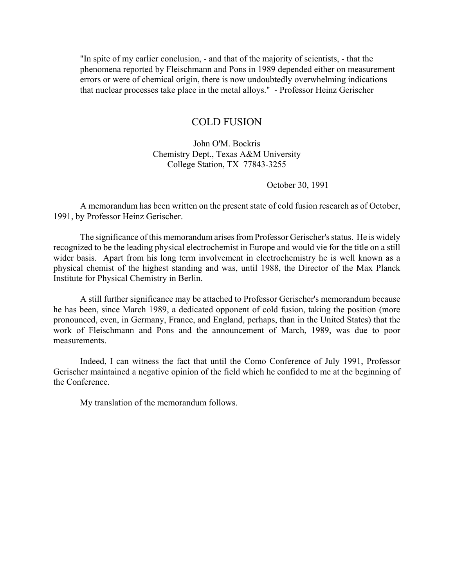"In spite of my earlier conclusion, - and that of the majority of scientists, - that the phenomena reported by Fleischmann and Pons in 1989 depended either on measurement errors or were of chemical origin, there is now undoubtedly overwhelming indications that nuclear processes take place in the metal alloys." - Professor Heinz Gerischer

# COLD FUSION

John O'M. Bockris Chemistry Dept., Texas A&M University College Station, TX 77843-3255

October 30, 1991

A memorandum has been written on the present state of cold fusion research as of October, 1991, by Professor Heinz Gerischer.

The significance of this memorandum arises from Professor Gerischer's status. He is widely recognized to be the leading physical electrochemist in Europe and would vie for the title on a still wider basis. Apart from his long term involvement in electrochemistry he is well known as a physical chemist of the highest standing and was, until 1988, the Director of the Max Planck Institute for Physical Chemistry in Berlin.

A still further significance may be attached to Professor Gerischer's memorandum because he has been, since March 1989, a dedicated opponent of cold fusion, taking the position (more pronounced, even, in Germany, France, and England, perhaps, than in the United States) that the work of Fleischmann and Pons and the announcement of March, 1989, was due to poor measurements.

Indeed, I can witness the fact that until the Como Conference of July 1991, Professor Gerischer maintained a negative opinion of the field which he confided to me at the beginning of the Conference.

My translation of the memorandum follows.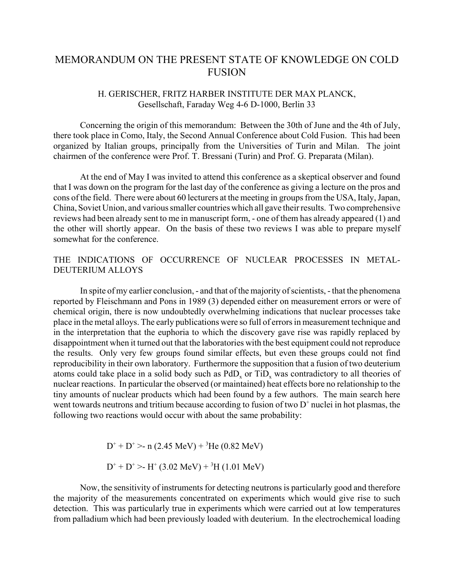# MEMORANDUM ON THE PRESENT STATE OF KNOWLEDGE ON COLD **FUSION**

# H. GERISCHER, FRITZ HARBER INSTITUTE DER MAX PLANCK, Gesellschaft, Faraday Weg 4-6 D-1000, Berlin 33

Concerning the origin of this memorandum: Between the 30th of June and the 4th of July, there took place in Como, Italy, the Second Annual Conference about Cold Fusion. This had been organized by Italian groups, principally from the Universities of Turin and Milan. The joint chairmen of the conference were Prof. T. Bressani (Turin) and Prof. G. Preparata (Milan).

At the end of May I was invited to attend this conference as a skeptical observer and found that I was down on the program for the last day of the conference as giving a lecture on the pros and cons of the field. There were about 60 lecturers at the meeting in groups from the USA, Italy, Japan, China, Soviet Union, and various smaller countries which all gave their results. Two comprehensive reviews had been already sent to me in manuscript form, - one of them has already appeared (1) and the other will shortly appear. On the basis of these two reviews I was able to prepare myself somewhat for the conference.

# THE INDICATIONS OF OCCURRENCE OF NUCLEAR PROCESSES IN METAL-DEUTERIUM ALLOYS

In spite of my earlier conclusion, - and that of the majority of scientists, - that the phenomena reported by Fleischmann and Pons in 1989 (3) depended either on measurement errors or were of chemical origin, there is now undoubtedly overwhelming indications that nuclear processes take place in the metal alloys. The early publications were so full of errors in measurement technique and in the interpretation that the euphoria to which the discovery gave rise was rapidly replaced by disappointment when it turned out that the laboratories with the best equipment could not reproduce the results. Only very few groups found similar effects, but even these groups could not find reproducibility in their own laboratory. Furthermore the supposition that a fusion of two deuterium atoms could take place in a solid body such as  $PdD<sub>x</sub>$  or  $TiD<sub>x</sub>$  was contradictory to all theories of nuclear reactions. In particular the observed (or maintained) heat effects bore no relationship to the tiny amounts of nuclear products which had been found by a few authors. The main search here went towards neutrons and tritium because according to fusion of two  $D^+$  nuclei in hot plasmas, the following two reactions would occur with about the same probability:

$$
D^+ + D^+ > n (2.45 \text{ MeV}) + {}^3\text{He} (0.82 \text{ MeV})
$$

$$
D^+ + D^+ > H^+ (3.02 \text{ MeV}) + {}^3\text{H} (1.01 \text{ MeV})
$$

Now, the sensitivity of instruments for detecting neutrons is particularly good and therefore the majority of the measurements concentrated on experiments which would give rise to such detection. This was particularly true in experiments which were carried out at low temperatures from palladium which had been previously loaded with deuterium. In the electrochemical loading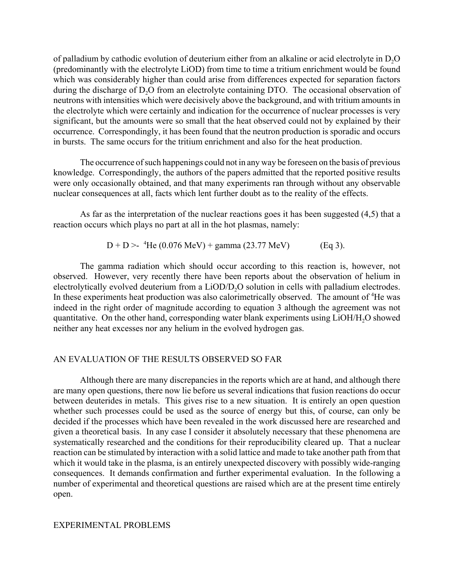of palladium by cathodic evolution of deuterium either from an alkaline or acid electrolyte in D<sub>2</sub>O (predominantly with the electrolyte LiOD) from time to time a tritium enrichment would be found which was considerably higher than could arise from differences expected for separation factors during the discharge of D<sub>2</sub>O from an electrolyte containing DTO. The occasional observation of neutrons with intensities which were decisively above the background, and with tritium amounts in the electrolyte which were certainly and indication for the occurrence of nuclear processes is very significant, but the amounts were so small that the heat observed could not by explained by their occurrence. Correspondingly, it has been found that the neutron production is sporadic and occurs in bursts. The same occurs for the tritium enrichment and also for the heat production.

The occurrence of such happenings could not in any way be foreseen on the basis of previous knowledge. Correspondingly, the authors of the papers admitted that the reported positive results were only occasionally obtained, and that many experiments ran through without any observable nuclear consequences at all, facts which lent further doubt as to the reality of the effects.

As far as the interpretation of the nuclear reactions goes it has been suggested (4,5) that a reaction occurs which plays no part at all in the hot plasmas, namely:

$$
D + D > 4\text{He } (0.076 \text{ MeV}) + \text{gamma } (23.77 \text{ MeV}) \tag{Eq 3}.
$$

The gamma radiation which should occur according to this reaction is, however, not observed. However, very recently there have been reports about the observation of helium in electrolytically evolved deuterium from a LiOD/D<sub>2</sub>O solution in cells with palladium electrodes. In these experiments heat production was also calorimetrically observed. The amount of <sup>4</sup>He was indeed in the right order of magnitude according to equation 3 although the agreement was not quantitative. On the other hand, corresponding water blank experiments using LiOH/H<sub>2</sub>O showed neither any heat excesses nor any helium in the evolved hydrogen gas.

## AN EVALUATION OF THE RESULTS OBSERVED SO FAR

Although there are many discrepancies in the reports which are at hand, and although there are many open questions, there now lie before us several indications that fusion reactions do occur between deuterides in metals. This gives rise to a new situation. It is entirely an open question whether such processes could be used as the source of energy but this, of course, can only be decided if the processes which have been revealed in the work discussed here are researched and given a theoretical basis. In any case I consider it absolutely necessary that these phenomena are systematically researched and the conditions for their reproducibility cleared up. That a nuclear reaction can be stimulated by interaction with a solid lattice and made to take another path from that which it would take in the plasma, is an entirely unexpected discovery with possibly wide-ranging consequences. It demands confirmation and further experimental evaluation. In the following a number of experimental and theoretical questions are raised which are at the present time entirely open.

#### EXPERIMENTAL PROBLEMS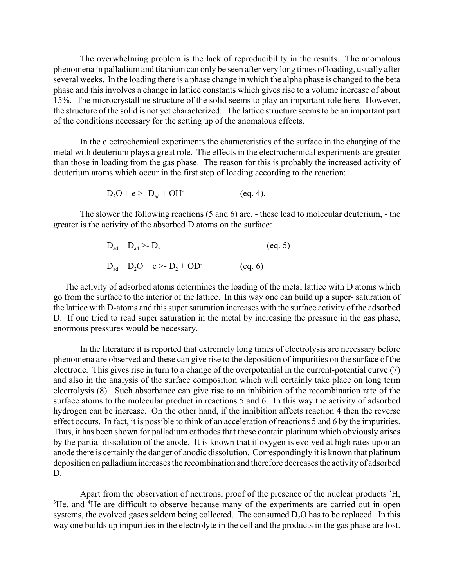The overwhelming problem is the lack of reproducibility in the results. The anomalous phenomena in palladium and titanium can only be seen after very long times of loading, usually after several weeks. In the loading there is a phase change in which the alpha phase is changed to the beta phase and this involves a change in lattice constants which gives rise to a volume increase of about 15%. The microcrystalline structure of the solid seems to play an important role here. However, the structure of the solid is not yet characterized. The lattice structure seems to be an important part of the conditions necessary for the setting up of the anomalous effects.

In the electrochemical experiments the characteristics of the surface in the charging of the metal with deuterium plays a great role. The effects in the electrochemical experiments are greater than those in loading from the gas phase. The reason for this is probably the increased activity of deuterium atoms which occur in the first step of loading according to the reaction:

$$
D_2O + e > D_{ad} + OH \qquad (eq. 4).
$$

The slower the following reactions (5 and 6) are, - these lead to molecular deuterium, - the greater is the activity of the absorbed D atoms on the surface:

$$
D_{ad} + D_{ad} > D_2
$$
 (eq. 5)  

$$
D_{ad} + D_2O + e > D_2 + OD
$$
 (eq. 6)

 The activity of adsorbed atoms determines the loading of the metal lattice with D atoms which go from the surface to the interior of the lattice. In this way one can build up a super- saturation of the lattice with D-atoms and this super saturation increases with the surface activity of the adsorbed D. If one tried to read super saturation in the metal by increasing the pressure in the gas phase, enormous pressures would be necessary.

In the literature it is reported that extremely long times of electrolysis are necessary before phenomena are observed and these can give rise to the deposition of impurities on the surface of the electrode. This gives rise in turn to a change of the overpotential in the current-potential curve (7) and also in the analysis of the surface composition which will certainly take place on long term electrolysis (8). Such absorbance can give rise to an inhibition of the recombination rate of the surface atoms to the molecular product in reactions 5 and 6. In this way the activity of adsorbed hydrogen can be increase. On the other hand, if the inhibition affects reaction 4 then the reverse effect occurs. In fact, it is possible to think of an acceleration of reactions 5 and 6 by the impurities. Thus, it has been shown for palladium cathodes that these contain platinum which obviously arises by the partial dissolution of the anode. It is known that if oxygen is evolved at high rates upon an anode there is certainly the danger of anodic dissolution. Correspondingly it is known that platinum deposition on palladium increases the recombination and therefore decreases the activity of adsorbed D.

Apart from the observation of neutrons, proof of the presence of the nuclear products <sup>3</sup>H, <sup>3</sup>He, and <sup>4</sup>He are difficult to observe because many of the experiments are carried out in open systems, the evolved gases seldom being collected. The consumed  $D<sub>2</sub>O$  has to be replaced. In this way one builds up impurities in the electrolyte in the cell and the products in the gas phase are lost.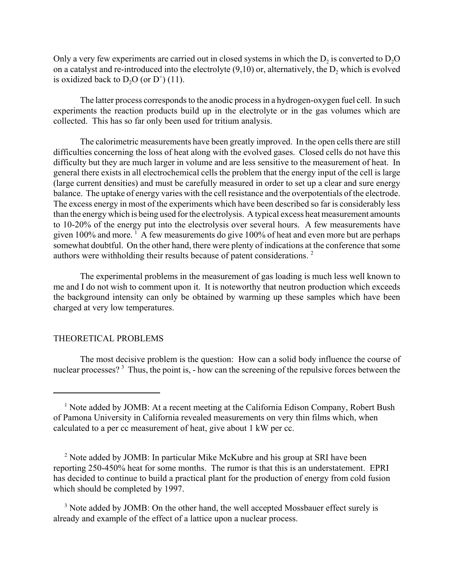Only a very few experiments are carried out in closed systems in which the  $D<sub>2</sub>$  is converted to  $D<sub>2</sub>O$ on a catalyst and re-introduced into the electrolyte  $(9,10)$  or, alternatively, the  $D<sub>2</sub>$  which is evolved is oxidized back to  $D_2O$  (or  $D^+$ ) (11).

The latter process corresponds to the anodic process in a hydrogen-oxygen fuel cell. In such experiments the reaction products build up in the electrolyte or in the gas volumes which are collected. This has so far only been used for tritium analysis.

The calorimetric measurements have been greatly improved. In the open cells there are still difficulties concerning the loss of heat along with the evolved gases. Closed cells do not have this difficulty but they are much larger in volume and are less sensitive to the measurement of heat. In general there exists in all electrochemical cells the problem that the energy input of the cell is large (large current densities) and must be carefully measured in order to set up a clear and sure energy balance. The uptake of energy varies with the cell resistance and the overpotentials of the electrode. The excess energy in most of the experiments which have been described so far is considerably less than the energy which is being used for the electrolysis. A typical excess heat measurement amounts to 10-20% of the energy put into the electrolysis over several hours. A few measurements have given 100% and more.<sup>1</sup> A few measurements do give 100% of heat and even more but are perhaps somewhat doubtful. On the other hand, there were plenty of indications at the conference that some authors were withholding their results because of patent considerations. 2

The experimental problems in the measurement of gas loading is much less well known to me and I do not wish to comment upon it. It is noteworthy that neutron production which exceeds the background intensity can only be obtained by warming up these samples which have been charged at very low temperatures.

## THEORETICAL PROBLEMS

The most decisive problem is the question: How can a solid body influence the course of nuclear processes?<sup>3</sup> Thus, the point is, - how can the screening of the repulsive forces between the

<sup>&</sup>lt;sup>1</sup> Note added by JOMB: At a recent meeting at the California Edison Company, Robert Bush of Pamona University in California revealed measurements on very thin films which, when calculated to a per cc measurement of heat, give about 1 kW per cc.

<sup>&</sup>lt;sup>2</sup> Note added by JOMB: In particular Mike McKubre and his group at SRI have been reporting 250-450% heat for some months. The rumor is that this is an understatement. EPRI has decided to continue to build a practical plant for the production of energy from cold fusion which should be completed by 1997.

<sup>&</sup>lt;sup>3</sup> Note added by JOMB: On the other hand, the well accepted Mossbauer effect surely is already and example of the effect of a lattice upon a nuclear process.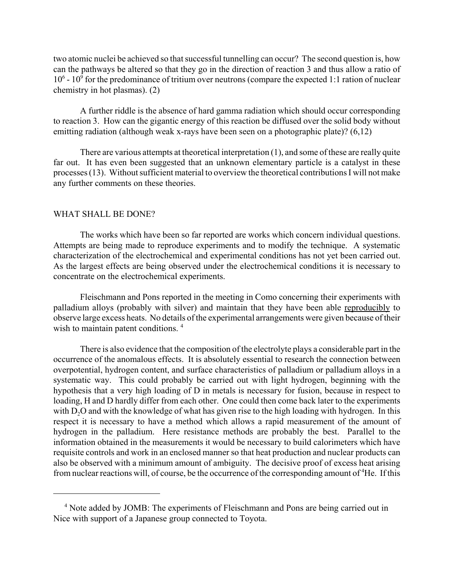two atomic nuclei be achieved so that successful tunnelling can occur? The second question is, how can the pathways be altered so that they go in the direction of reaction 3 and thus allow a ratio of 10<sup>6</sup> - 10<sup>9</sup> for the predominance of tritium over neutrons (compare the expected 1:1 ration of nuclear chemistry in hot plasmas). (2)

A further riddle is the absence of hard gamma radiation which should occur corresponding to reaction 3. How can the gigantic energy of this reaction be diffused over the solid body without emitting radiation (although weak x-rays have been seen on a photographic plate)? (6,12)

There are various attempts at theoretical interpretation (1), and some of these are really quite far out. It has even been suggested that an unknown elementary particle is a catalyst in these processes (13). Without sufficient material to overview the theoretical contributions I will not make any further comments on these theories.

#### WHAT SHALL BE DONE?

The works which have been so far reported are works which concern individual questions. Attempts are being made to reproduce experiments and to modify the technique. A systematic characterization of the electrochemical and experimental conditions has not yet been carried out. As the largest effects are being observed under the electrochemical conditions it is necessary to concentrate on the electrochemical experiments.

Fleischmann and Pons reported in the meeting in Como concerning their experiments with palladium alloys (probably with silver) and maintain that they have been able reproducibly to observe large excess heats. No details of the experimental arrangements were given because of their wish to maintain patent conditions.<sup>4</sup>

There is also evidence that the composition of the electrolyte plays a considerable part in the occurrence of the anomalous effects. It is absolutely essential to research the connection between overpotential, hydrogen content, and surface characteristics of palladium or palladium alloys in a systematic way. This could probably be carried out with light hydrogen, beginning with the hypothesis that a very high loading of D in metals is necessary for fusion, because in respect to loading, H and D hardly differ from each other. One could then come back later to the experiments with  $D_2O$  and with the knowledge of what has given rise to the high loading with hydrogen. In this respect it is necessary to have a method which allows a rapid measurement of the amount of hydrogen in the palladium. Here resistance methods are probably the best. Parallel to the information obtained in the measurements it would be necessary to build calorimeters which have requisite controls and work in an enclosed manner so that heat production and nuclear products can also be observed with a minimum amount of ambiguity. The decisive proof of excess heat arising from nuclear reactions will, of course, be the occurrence of the corresponding amount of <sup>4</sup>He. If this

<sup>&</sup>lt;sup>4</sup> Note added by JOMB: The experiments of Fleischmann and Pons are being carried out in Nice with support of a Japanese group connected to Toyota.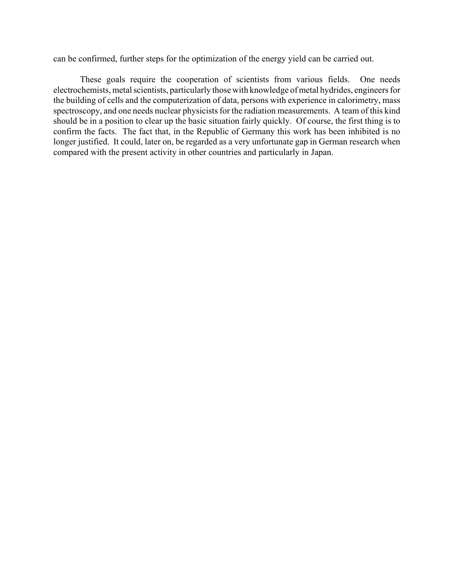can be confirmed, further steps for the optimization of the energy yield can be carried out.

These goals require the cooperation of scientists from various fields. One needs electrochemists, metal scientists, particularly those with knowledge of metal hydrides, engineers for the building of cells and the computerization of data, persons with experience in calorimetry, mass spectroscopy, and one needs nuclear physicists for the radiation measurements. A team of this kind should be in a position to clear up the basic situation fairly quickly. Of course, the first thing is to confirm the facts. The fact that, in the Republic of Germany this work has been inhibited is no longer justified. It could, later on, be regarded as a very unfortunate gap in German research when compared with the present activity in other countries and particularly in Japan.